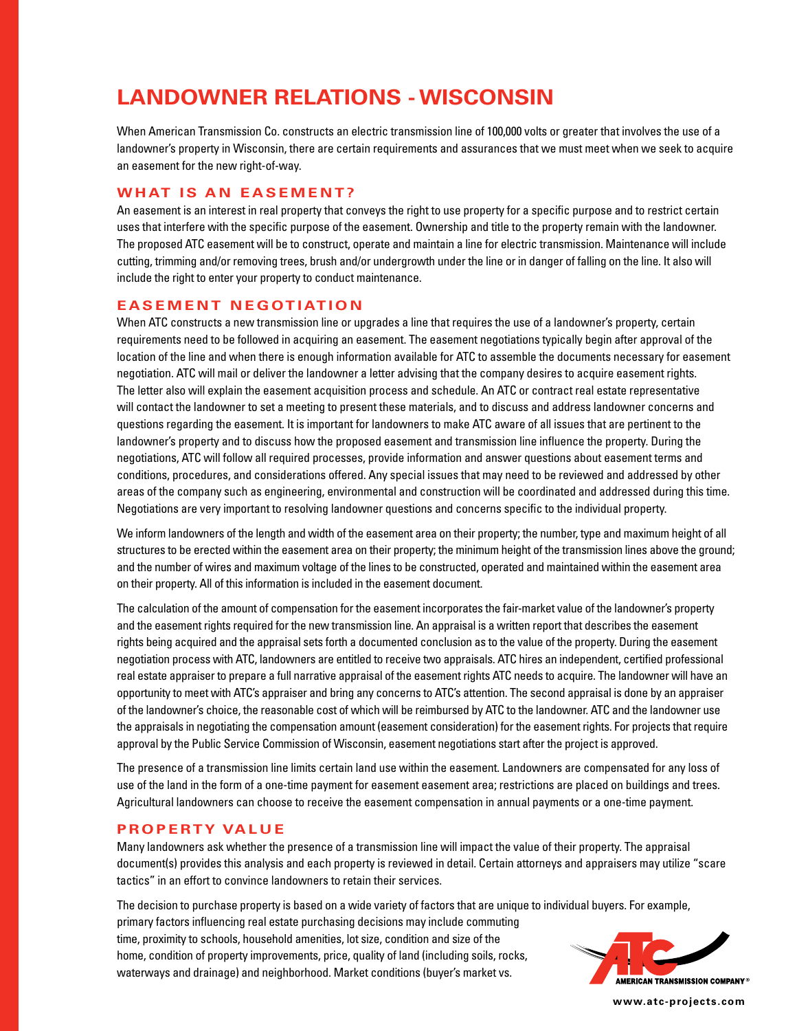# **LANDOWNER RELATIONS - WISCONSIN**

When American Transmission Co. constructs an electric transmission line of 100,000 volts or greater that involves the use of a landowner's property in Wisconsin, there are certain requirements and assurances that we must meet when we seek to acquire an easement for the new right-of-way.

### **WHAT IS AN EASEMENT?**

An easement is an interest in real property that conveys the right to use property for a specific purpose and to restrict certain uses that interfere with the specific purpose of the easement. Ownership and title to the property remain with the landowner. The proposed ATC easement will be to construct, operate and maintain a line for electric transmission. Maintenance will include cutting, trimming and/or removing trees, brush and/or undergrowth under the line or in danger of falling on the line. It also will include the right to enter your property to conduct maintenance.

#### **EASEMENT NEGOTIATION**

When ATC constructs a new transmission line or upgrades a line that requires the use of a landowner's property, certain requirements need to be followed in acquiring an easement. The easement negotiations typically begin after approval of the location of the line and when there is enough information available for ATC to assemble the documents necessary for easement negotiation. ATC will mail or deliver the landowner a letter advising that the company desires to acquire easement rights. The letter also will explain the easement acquisition process and schedule. An ATC or contract real estate representative will contact the landowner to set a meeting to present these materials, and to discuss and address landowner concerns and questions regarding the easement. It is important for landowners to make ATC aware of all issues that are pertinent to the landowner's property and to discuss how the proposed easement and transmission line influence the property. During the negotiations, ATC will follow all required processes, provide information and answer questions about easement terms and conditions, procedures, and considerations offered. Any special issues that may need to be reviewed and addressed by other areas of the company such as engineering, environmental and construction will be coordinated and addressed during this time. Negotiations are very important to resolving landowner questions and concerns specific to the individual property.

We inform landowners of the length and width of the easement area on their property; the number, type and maximum height of all structures to be erected within the easement area on their property; the minimum height of the transmission lines above the ground; and the number of wires and maximum voltage of the lines to be constructed, operated and maintained within the easement area on their property. All of this information is included in the easement document.

The calculation of the amount of compensation for the easement incorporates the fair-market value of the landowner's property and the easement rights required for the new transmission line. An appraisal is a written report that describes the easement rights being acquired and the appraisal sets forth a documented conclusion as to the value of the property. During the easement negotiation process with ATC, landowners are entitled to receive two appraisals. ATC hires an independent, certified professional real estate appraiser to prepare a full narrative appraisal of the easement rights ATC needs to acquire. The landowner will have an opportunity to meet with ATC's appraiser and bring any concerns to ATC's attention. The second appraisal is done by an appraiser of the landowner's choice, the reasonable cost of which will be reimbursed by ATC to the landowner. ATC and the landowner use the appraisals in negotiating the compensation amount (easement consideration) for the easement rights. For projects that require approval by the Public Service Commission of Wisconsin, easement negotiations start after the project is approved.

The presence of a transmission line limits certain land use within the easement. Landowners are compensated for any loss of use of the land in the form of a one-time payment for easement easement area; restrictions are placed on buildings and trees. Agricultural landowners can choose to receive the easement compensation in annual payments or a one-time payment.

#### **PROPERTY VALUE**

Many landowners ask whether the presence of a transmission line will impact the value of their property. The appraisal document(s) provides this analysis and each property is reviewed in detail. Certain attorneys and appraisers may utilize "scare tactics" in an effort to convince landowners to retain their services.

The decision to purchase property is based on a wide variety of factors that are unique to individual buyers. For example,

primary factors influencing real estate purchasing decisions may include commuting time, proximity to schools, household amenities, lot size, condition and size of the home, condition of property improvements, price, quality of land (including soils, rocks, waterways and drainage) and neighborhood. Market conditions (buyer's market vs.



**www.atc-projects.com**